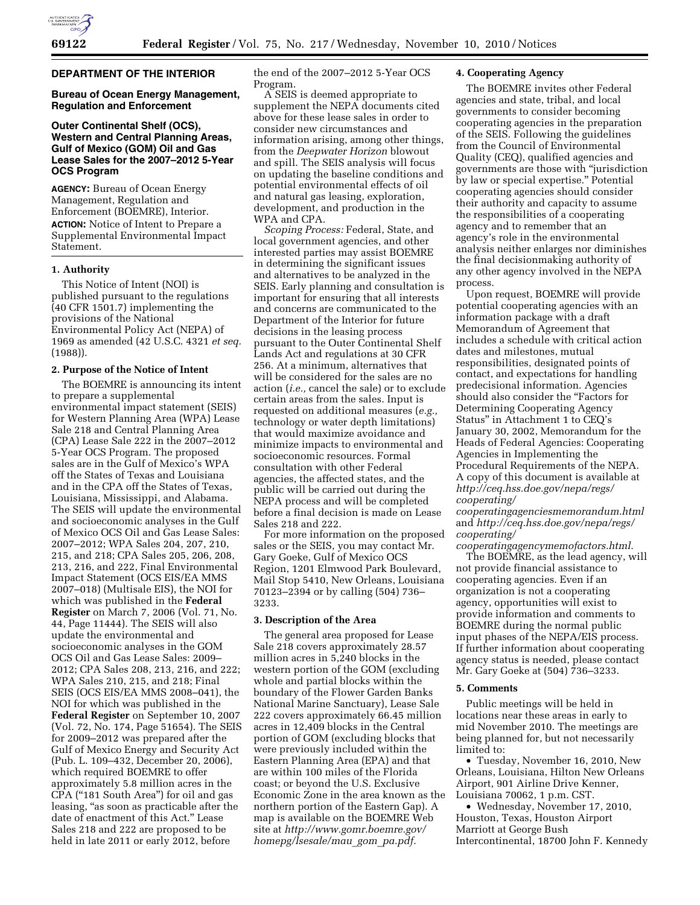

# **DEPARTMENT OF THE INTERIOR**

# **Bureau of Ocean Energy Management, Regulation and Enforcement**

# **Outer Continental Shelf (OCS), Western and Central Planning Areas, Gulf of Mexico (GOM) Oil and Gas Lease Sales for the 2007–2012 5-Year OCS Program**

**AGENCY:** Bureau of Ocean Energy Management, Regulation and Enforcement (BOEMRE), Interior. **ACTION:** Notice of Intent to Prepare a Supplemental Environmental Impact Statement.

## **1. Authority**

This Notice of Intent (NOI) is published pursuant to the regulations (40 CFR 1501.7) implementing the provisions of the National Environmental Policy Act (NEPA) of 1969 as amended (42 U.S.C. 4321 *et seq.*  (1988)).

## **2. Purpose of the Notice of Intent**

The BOEMRE is announcing its intent to prepare a supplemental environmental impact statement (SEIS) for Western Planning Area (WPA) Lease Sale 218 and Central Planning Area (CPA) Lease Sale 222 in the 2007–2012 5-Year OCS Program. The proposed sales are in the Gulf of Mexico's WPA off the States of Texas and Louisiana and in the CPA off the States of Texas, Louisiana, Mississippi, and Alabama. The SEIS will update the environmental and socioeconomic analyses in the Gulf of Mexico OCS Oil and Gas Lease Sales: 2007–2012; WPA Sales 204, 207, 210, 215, and 218; CPA Sales 205, 206, 208, 213, 216, and 222, Final Environmental Impact Statement (OCS EIS/EA MMS 2007–018) (Multisale EIS), the NOI for which was published in the **Federal Register** on March 7, 2006 (Vol. 71, No. 44, Page 11444). The SEIS will also update the environmental and socioeconomic analyses in the GOM OCS Oil and Gas Lease Sales: 2009– 2012; CPA Sales 208, 213, 216, and 222; WPA Sales 210, 215, and 218; Final SEIS (OCS EIS/EA MMS 2008–041), the NOI for which was published in the **Federal Register** on September 10, 2007 (Vol. 72, No. 174, Page 51654). The SEIS for 2009–2012 was prepared after the Gulf of Mexico Energy and Security Act (Pub. L. 109–432, December 20, 2006), which required BOEMRE to offer approximately 5.8 million acres in the CPA (''181 South Area'') for oil and gas leasing, "as soon as practicable after the date of enactment of this Act.'' Lease Sales 218 and 222 are proposed to be held in late 2011 or early 2012, before

the end of the 2007–2012 5-Year OCS Program.

A SEIS is deemed appropriate to supplement the NEPA documents cited above for these lease sales in order to consider new circumstances and information arising, among other things, from the *Deepwater Horizon* blowout and spill. The SEIS analysis will focus on updating the baseline conditions and potential environmental effects of oil and natural gas leasing, exploration, development, and production in the WPA and CPA.

*Scoping Process:* Federal, State, and local government agencies, and other interested parties may assist BOEMRE in determining the significant issues and alternatives to be analyzed in the SEIS. Early planning and consultation is important for ensuring that all interests and concerns are communicated to the Department of the Interior for future decisions in the leasing process pursuant to the Outer Continental Shelf Lands Act and regulations at 30 CFR 256. At a minimum, alternatives that will be considered for the sales are no action (*i.e.,* cancel the sale) or to exclude certain areas from the sales. Input is requested on additional measures (*e.g.,*  technology or water depth limitations) that would maximize avoidance and minimize impacts to environmental and socioeconomic resources. Formal consultation with other Federal agencies, the affected states, and the public will be carried out during the NEPA process and will be completed before a final decision is made on Lease Sales 218 and 222.

For more information on the proposed sales or the SEIS, you may contact Mr. Gary Goeke, Gulf of Mexico OCS Region, 1201 Elmwood Park Boulevard, Mail Stop 5410, New Orleans, Louisiana 70123–2394 or by calling (504) 736– 3233.

### **3. Description of the Area**

The general area proposed for Lease Sale 218 covers approximately 28.57 million acres in 5,240 blocks in the western portion of the GOM (excluding whole and partial blocks within the boundary of the Flower Garden Banks National Marine Sanctuary), Lease Sale 222 covers approximately 66.45 million acres in 12,409 blocks in the Central portion of GOM (excluding blocks that were previously included within the Eastern Planning Area (EPA) and that are within 100 miles of the Florida coast; or beyond the U.S. Exclusive Economic Zone in the area known as the northern portion of the Eastern Gap). A map is available on the BOEMRE Web site at *[http://www.gomr.boemre.gov/](http://www.gomr.boemre.gov/homepg/lsesale/mau_gom_pa.pdf)  [homepg/lsesale/mau](http://www.gomr.boemre.gov/homepg/lsesale/mau_gom_pa.pdf)*\_*gom*\_*pa.pdf.* 

# **4. Cooperating Agency**

The BOEMRE invites other Federal agencies and state, tribal, and local governments to consider becoming cooperating agencies in the preparation of the SEIS. Following the guidelines from the Council of Environmental Quality (CEQ), qualified agencies and governments are those with ''jurisdiction by law or special expertise.'' Potential cooperating agencies should consider their authority and capacity to assume the responsibilities of a cooperating agency and to remember that an agency's role in the environmental analysis neither enlarges nor diminishes the final decisionmaking authority of any other agency involved in the NEPA process.

Upon request, BOEMRE will provide potential cooperating agencies with an information package with a draft Memorandum of Agreement that includes a schedule with critical action dates and milestones, mutual responsibilities, designated points of contact, and expectations for handling predecisional information. Agencies should also consider the ''Factors for Determining Cooperating Agency Status'' in Attachment 1 to CEQ's January 30, 2002, Memorandum for the Heads of Federal Agencies: Cooperating Agencies in Implementing the Procedural Requirements of the NEPA. A copy of this document is available at *[http://ceq.hss.doe.gov/nepa/regs/](http://ceq.hss.doe.gov/nepa/regs/cooperating/cooperatingagenciesmemorandum.html) [cooperating/](http://ceq.hss.doe.gov/nepa/regs/cooperating/cooperatingagenciesmemorandum.html)* 

*[cooperatingagenciesmemorandum.html](http://ceq.hss.doe.gov/nepa/regs/cooperating/cooperatingagenciesmemorandum.html)*  and *[http://ceq.hss.doe.gov/nepa/regs/](http://ceq.hss.doe.gov/nepa/regs/cooperating/cooperatingagencymemofactors.html) [cooperating/](http://ceq.hss.doe.gov/nepa/regs/cooperating/cooperatingagencymemofactors.html)* 

*[cooperatingagencymemofactors.html.](http://ceq.hss.doe.gov/nepa/regs/cooperating/cooperatingagencymemofactors.html)*  The BOEMRE, as the lead agency, will not provide financial assistance to cooperating agencies. Even if an organization is not a cooperating agency, opportunities will exist to provide information and comments to BOEMRE during the normal public input phases of the NEPA/EIS process. If further information about cooperating agency status is needed, please contact Mr. Gary Goeke at (504) 736–3233.

### **5. Comments**

Public meetings will be held in locations near these areas in early to mid November 2010. The meetings are being planned for, but not necessarily limited to:

• Tuesday, November 16, 2010, New Orleans, Louisiana, Hilton New Orleans Airport, 901 Airline Drive Kenner, Louisiana 70062, 1 p.m. CST.

• Wednesday, November 17, 2010, Houston, Texas, Houston Airport Marriott at George Bush Intercontinental, 18700 John F. Kennedy